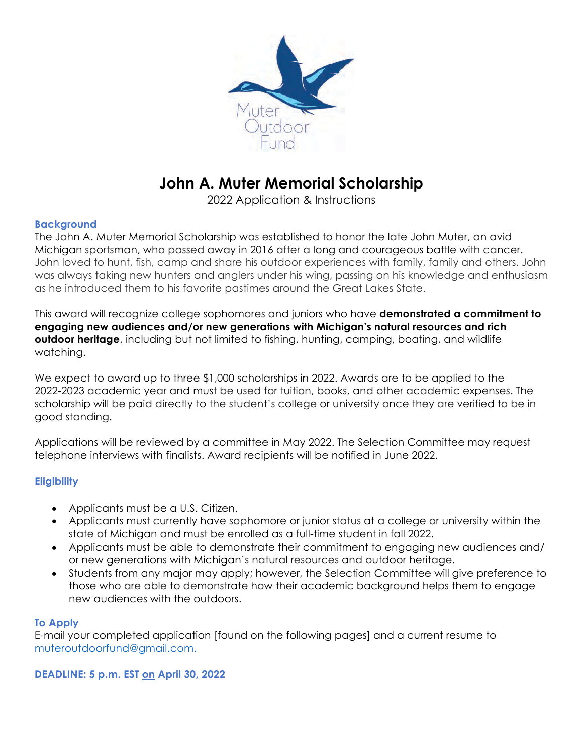

# **John A. Muter Memorial Scholarship**

2022 Application & Instructions

#### **Background**

The John A. Muter Memorial Scholarship was established to honor the late John Muter, an avid Michigan sportsman, who passed away in 2016 after a long and courageous battle with cancer. John loved to hunt, fish, camp and share his outdoor experiences with family, family and others. John was always taking new hunters and anglers under his wing, passing on his knowledge and enthusiasm as he introduced them to his favorite pastimes around the Great Lakes State.

This award will recognize college sophomores and juniors who have **demonstrated a commitment to engaging new audiences and/or new generations with Michigan's natural resources and rich outdoor heritage**, including but not limited to fishing, hunting, camping, boating, and wildlife watching.

We expect to award up to three \$1,000 scholarships in 2022. Awards are to be applied to the 2022-2023 academic year and must be used for tuition, books, and other academic expenses. The scholarship will be paid directly to the student's college or university once they are verified to be in good standing.

Applications will be reviewed by a committee in May 2022. The Selection Committee may request telephone interviews with finalists. Award recipients will be notified in June 2022.

#### **Eligibility**

- Applicants must be a U.S. Citizen.
- Applicants must currently have sophomore or junior status at a college or university within the state of Michigan and must be enrolled as a full-time student in fall 2022.
- Applicants must be able to demonstrate their commitment to engaging new audiences and/ or new generations with Michigan's natural resources and outdoor heritage.
- Students from any major may apply; however, the Selection Committee will give preference to those who are able to demonstrate how their academic background helps them to engage new audiences with the outdoors.

#### **To Apply**

E-mail your completed application [found on the following pages] and a current resume to muteroutdoorfund@gmail.com.

**DEADLINE: 5 p.m. EST on April 30, 2022**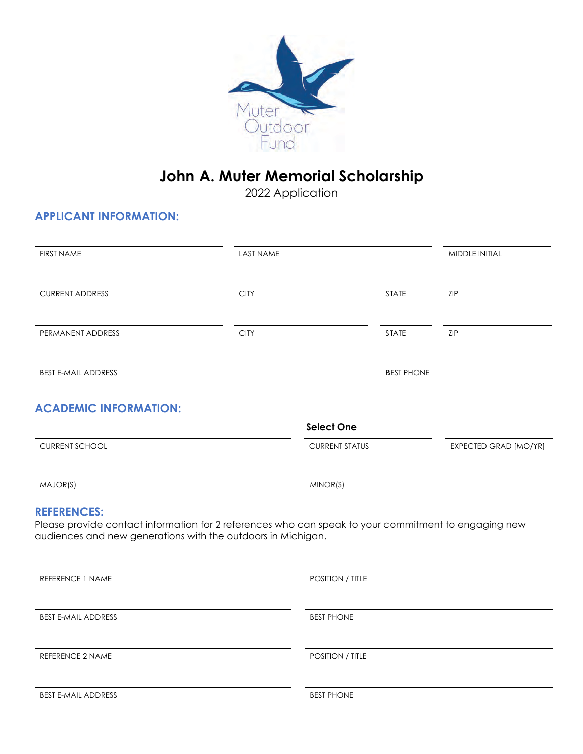

## **John A. Muter Memorial Scholarship**

2022 Application

### **APPLICANT INFORMATION:**

| <b>FIRST NAME</b>                                                                                                                                                                          | <b>LAST NAME</b> |                         |                   | <b>MIDDLE INITIAL</b> |
|--------------------------------------------------------------------------------------------------------------------------------------------------------------------------------------------|------------------|-------------------------|-------------------|-----------------------|
| <b>CURRENT ADDRESS</b>                                                                                                                                                                     | <b>CITY</b>      |                         | <b>STATE</b>      | ZIP                   |
| PERMANENT ADDRESS                                                                                                                                                                          | <b>CITY</b>      |                         | <b>STATE</b>      | ZIP                   |
| <b>BEST E-MAIL ADDRESS</b>                                                                                                                                                                 |                  |                         | <b>BEST PHONE</b> |                       |
| <b>ACADEMIC INFORMATION:</b>                                                                                                                                                               |                  | <b>Select One</b>       |                   |                       |
| <b>CURRENT SCHOOL</b>                                                                                                                                                                      |                  | <b>CURRENT STATUS</b>   |                   | EXPECTED GRAD [MO/YR] |
| MAJOR(S)                                                                                                                                                                                   |                  | MINOR(S)                |                   |                       |
| <b>REFERENCES:</b><br>Please provide contact information for 2 references who can speak to your commitment to engaging new<br>audiences and new generations with the outdoors in Michigan. |                  |                         |                   |                       |
| PEEEPENCE 1 NAME                                                                                                                                                                           |                  | <b>POSITION / TITLE</b> |                   |                       |

| KEFEKEINUE I INAIVIE       | <b>FUSHIUIN</b> / HILE |  |
|----------------------------|------------------------|--|
| <b>BEST E-MAIL ADDRESS</b> | <b>BEST PHONE</b>      |  |
| <b>REFERENCE 2 NAME</b>    | POSITION / TITLE       |  |
| <b>BEST E-MAIL ADDRESS</b> | <b>BEST PHONE</b>      |  |